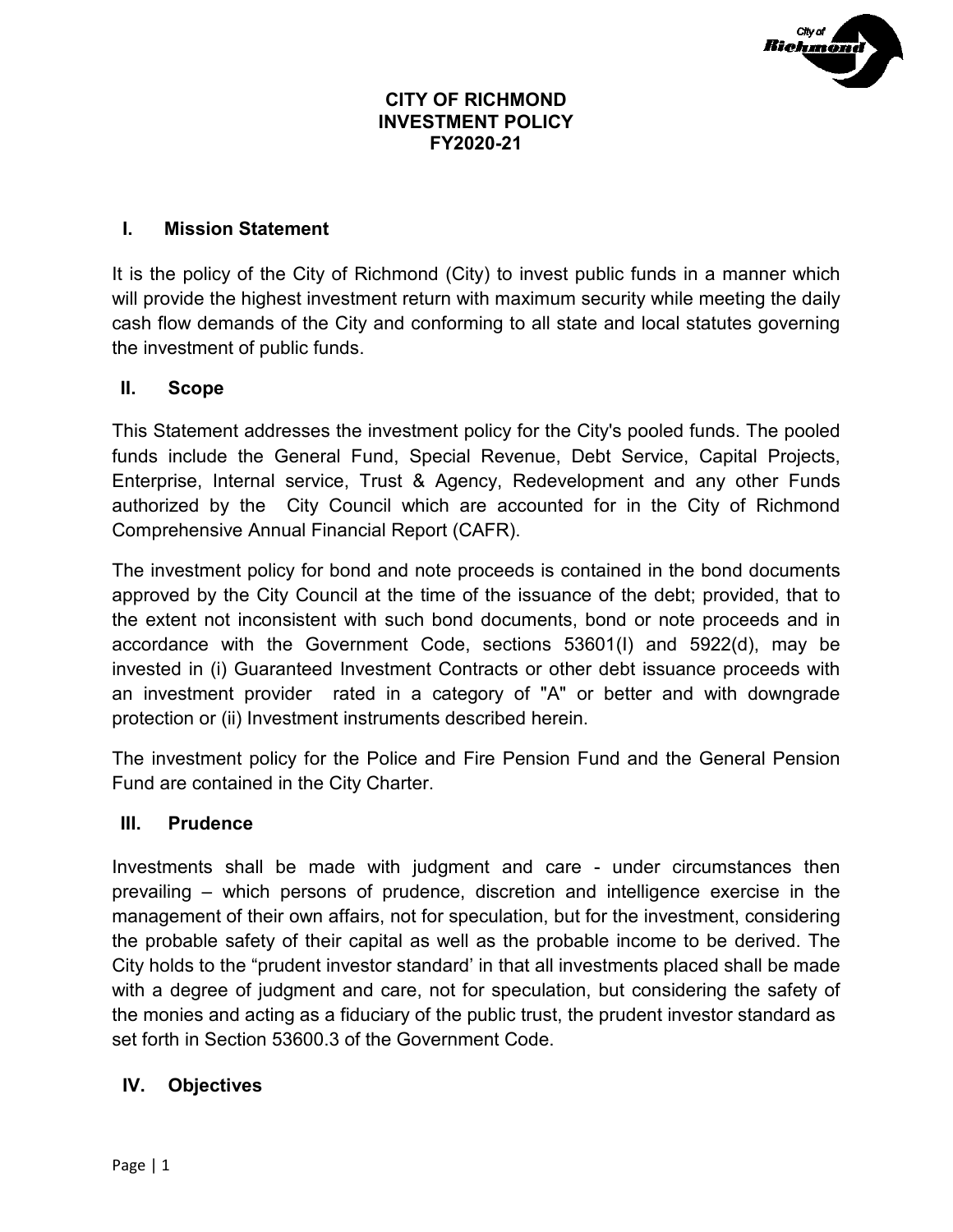

### **CITY OF RICHMOND INVESTMENT POLICY FY2020-21**

### **I. Mission Statement**

It is the policy of the City of Richmond (City) to invest public funds in a manner which will provide the highest investment return with maximum security while meeting the daily cash flow demands of the City and conforming to all state and local statutes governing the investment of public funds.

### **II. Scope**

This Statement addresses the investment policy for the City's pooled funds. The pooled funds include the General Fund, Special Revenue, Debt Service, Capital Projects, Enterprise, Internal service, Trust & Agency, Redevelopment and any other Funds authorized by the City Council which are accounted for in the City of Richmond Comprehensive Annual Financial Report (CAFR).

The investment policy for bond and note proceeds is contained in the bond documents approved by the City Council at the time of the issuance of the debt; provided, that to the extent not inconsistent with such bond documents, bond or note proceeds and in accordance with the Government Code, sections 53601(I) and 5922(d), may be invested in (i) Guaranteed Investment Contracts or other debt issuance proceeds with an investment provider rated in a category of "A" or better and with downgrade protection or (ii) Investment instruments described herein.

The investment policy for the Police and Fire Pension Fund and the General Pension Fund are contained in the City Charter.

### **III. Prudence**

Investments shall be made with judgment and care - under circumstances then prevailing – which persons of prudence, discretion and intelligence exercise in the management of their own affairs, not for speculation, but for the investment, considering the probable safety of their capital as well as the probable income to be derived. The City holds to the "prudent investor standard' in that all investments placed shall be made with a degree of judgment and care, not for speculation, but considering the safety of the monies and acting as a fiduciary of the public trust, the prudent investor standard as set forth in Section 53600.3 of the Government Code.

### **IV. Objectives**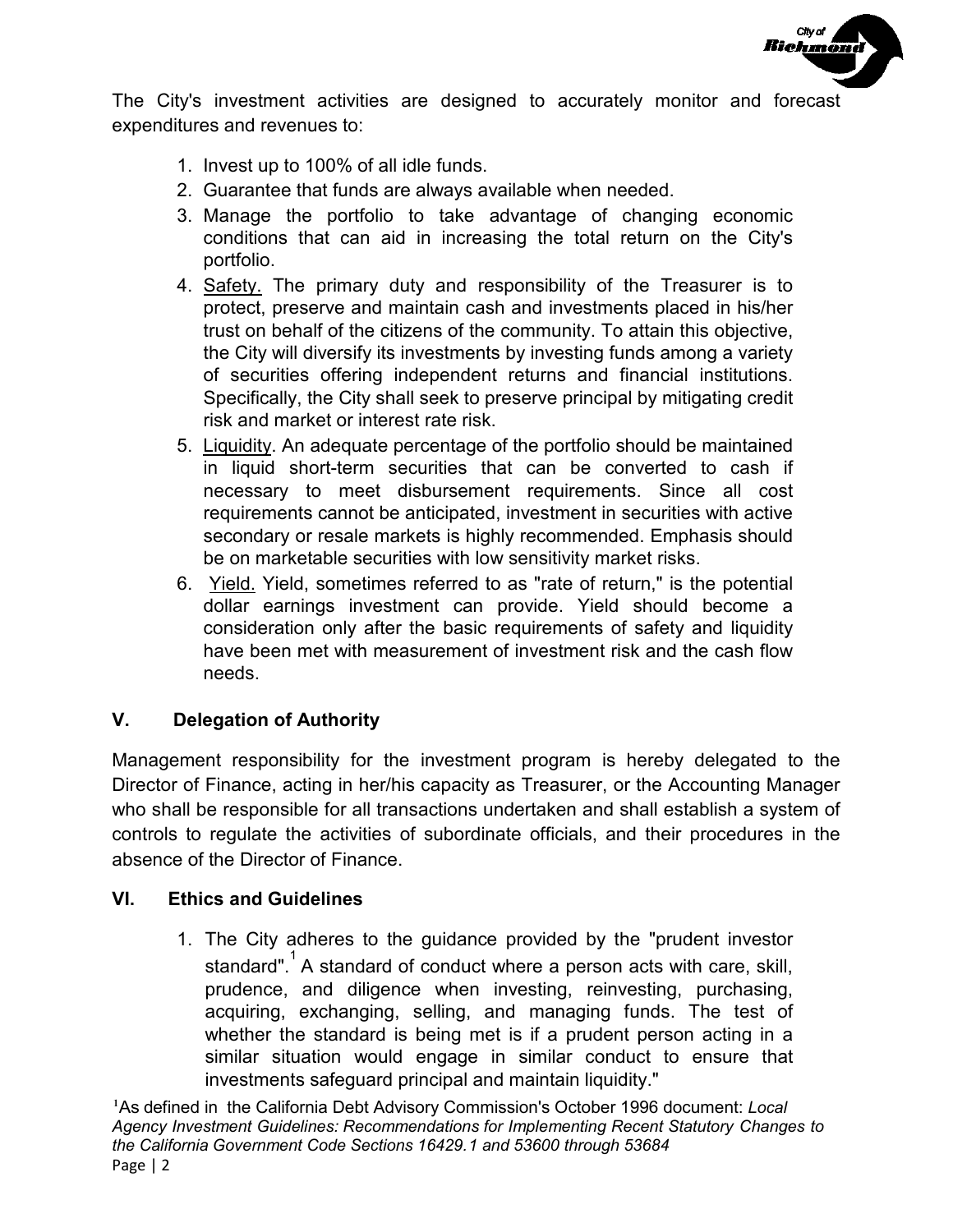

The City's investment activities are designed to accurately monitor and forecast expenditures and revenues to:

- 1. Invest up to 100% of all idle funds.
- 2. Guarantee that funds are always available when needed.
- 3. Manage the portfolio to take advantage of changing economic conditions that can aid in increasing the total return on the City's portfolio.
- 4. Safety. The primary duty and responsibility of the Treasurer is to protect, preserve and maintain cash and investments placed in his/her trust on behalf of the citizens of the community. To attain this objective, the City will diversify its investments by investing funds among a variety of securities offering independent returns and financial institutions. Specifically, the City shall seek to preserve principal by mitigating credit risk and market or interest rate risk.
- 5. Liquidity. An adequate percentage of the portfolio should be maintained in liquid short-term securities that can be converted to cash if necessary to meet disbursement requirements. Since all cost requirements cannot be anticipated, investment in securities with active secondary or resale markets is highly recommended. Emphasis should be on marketable securities with low sensitivity market risks.
- 6. Yield. Yield, sometimes referred to as "rate of return," is the potential dollar earnings investment can provide. Yield should become a consideration only after the basic requirements of safety and liquidity have been met with measurement of investment risk and the cash flow needs.

### **V. Delegation of Authority**

Management responsibility for the investment program is hereby delegated to the Director of Finance, acting in her/his capacity as Treasurer, or the Accounting Manager who shall be responsible for all transactions undertaken and shall establish a system of controls to regulate the activities of subordinate officials, and their procedures in the absence of the Director of Finance.

### **VI. Ethics and Guidelines**

1. The City adheres to the guidance provided by the "prudent investor standard".<sup>1</sup> A standard of conduct where a person acts with care, skill, prudence, and diligence when investing, reinvesting, purchasing, acquiring, exchanging, selling, and managing funds. The test of whether the standard is being met is if a prudent person acting in a similar situation would engage in similar conduct to ensure that investments safeguard principal and maintain liquidity."

1 As defined in the California Debt Advisory Commission's October 1996 document: *Local Agency Investment Guidelines: Recommendations for Implementing Recent Statutory Changes to the California Government Code Sections 16429.1 and 53600 through 53684* Page | 2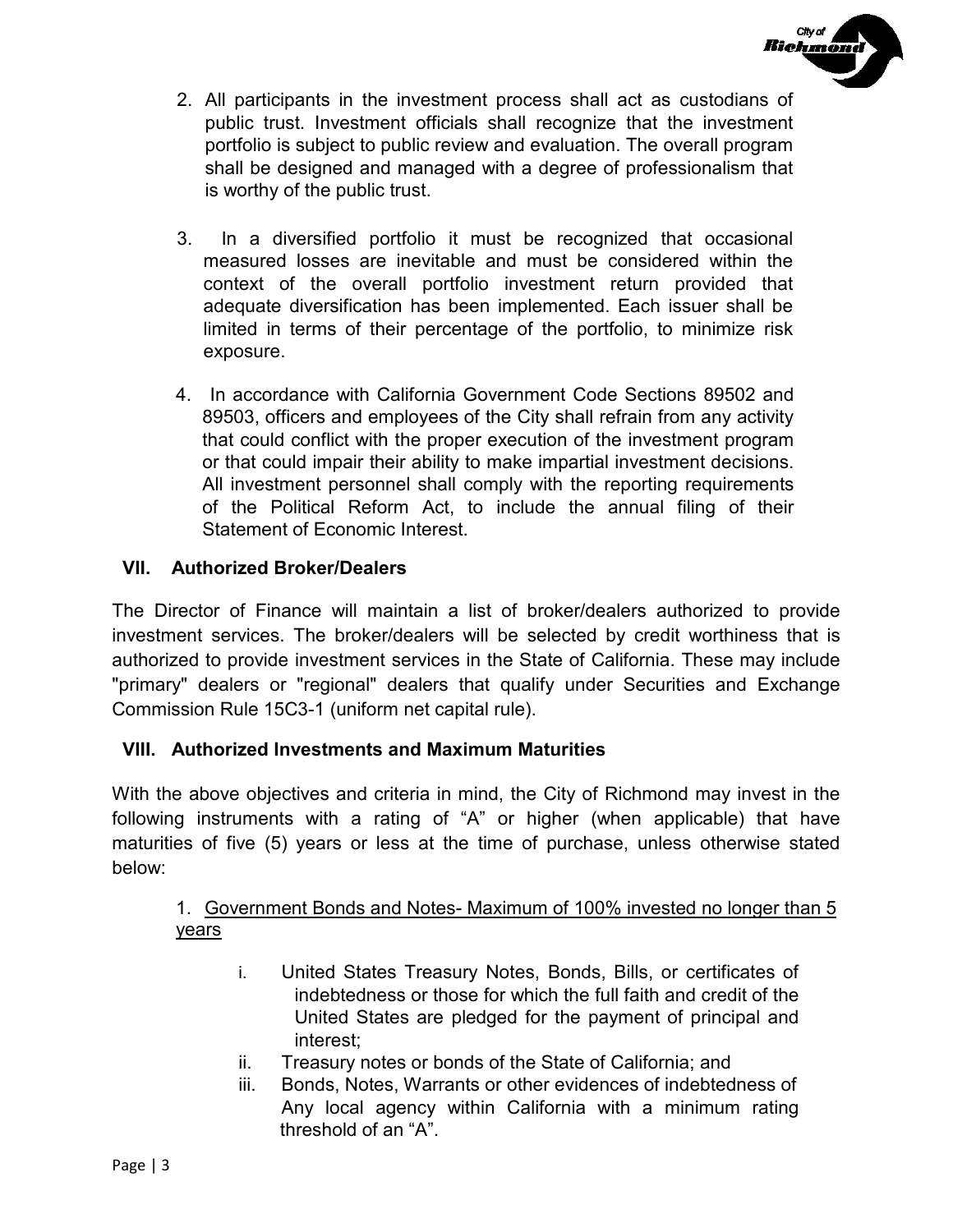

- 2. All participants in the investment process shall act as custodians of public trust. Investment officials shall recognize that the investment portfolio is subject to public review and evaluation. The overall program shall be designed and managed with a degree of professionalism that is worthy of the public trust.
- 3. In a diversified portfolio it must be recognized that occasional measured losses are inevitable and must be considered within the context of the overall portfolio investment return provided that adequate diversification has been implemented. Each issuer shall be limited in terms of their percentage of the portfolio, to minimize risk exposure.
- 4. In accordance with California Government Code Sections 89502 and 89503, officers and employees of the City shall refrain from any activity that could conflict with the proper execution of the investment program or that could impair their ability to make impartial investment decisions. All investment personnel shall comply with the reporting requirements of the Political Reform Act, to include the annual filing of their Statement of Economic Interest.

# **VII. Authorized Broker/Dealers**

The Director of Finance will maintain a list of broker/dealers authorized to provide investment services. The broker/dealers will be selected by credit worthiness that is authorized to provide investment services in the State of California. These may include "primary" dealers or "regional" dealers that qualify under Securities and Exchange Commission Rule 15C3-1 (uniform net capital rule).

# **VIII. Authorized Investments and Maximum Maturities**

With the above objectives and criteria in mind, the City of Richmond may invest in the following instruments with a rating of "A" or higher (when applicable) that have maturities of five (5) years or less at the time of purchase, unless otherwise stated below:

## 1. Government Bonds and Notes- Maximum of 100% invested no longer than 5 years

- i. United States Treasury Notes, Bonds, Bills, or certificates of indebtedness or those for which the full faith and credit of the United States are pledged for the payment of principal and interest;
- ii. Treasury notes or bonds of the State of California; and
- iii. Bonds, Notes, Warrants or other evidences of indebtedness of Any local agency within California with a minimum rating threshold of an "A".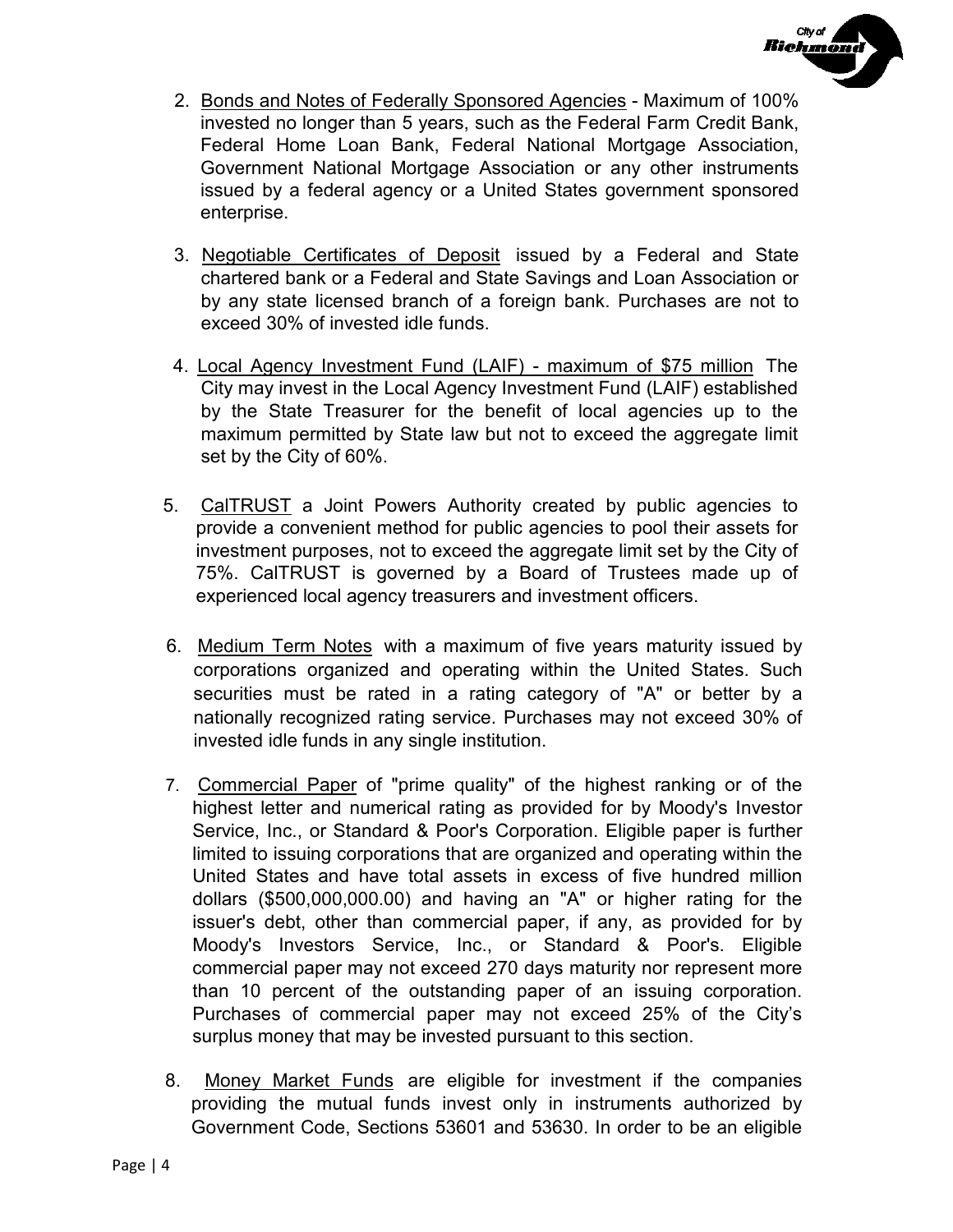

- 2. Bonds and Notes of Federally Sponsored Agencies Maximum of 100% invested no longer than 5 years, such as the Federal Farm Credit Bank, Federal Home Loan Bank, Federal National Mortgage Association, Government National Mortgage Association or any other instruments issued by a federal agency or a United States government sponsored enterprise.
- 3. Negotiable Certificates of Deposit issued by a Federal and State chartered bank or a Federal and State Savings and Loan Association or by any state licensed branch of a foreign bank. Purchases are not to exceed 30% of invested idle funds.
- 4. Local Agency Investment Fund (LAIF) maximum of \$75 million The City may invest in the Local Agency Investment Fund (LAIF) established by the State Treasurer for the benefit of local agencies up to the maximum permitted by State law but not to exceed the aggregate limit set by the City of 60%.
- 5. CalTRUST a Joint Powers Authority created by public agencies to provide a convenient method for public agencies to pool their assets for investment purposes, not to exceed the aggregate limit set by the City of 75%. CalTRUST is governed by a Board of Trustees made up of experienced local agency treasurers and investment officers.
- 6. Medium Term Notes with a maximum of five years maturity issued by corporations organized and operating within the United States. Such securities must be rated in a rating category of "A" or better by a nationally recognized rating service. Purchases may not exceed 30% of invested idle funds in any single institution.
- 7. Commercial Paper of "prime quality" of the highest ranking or of the highest letter and numerical rating as provided for by Moody's Investor Service, Inc., or Standard & Poor's Corporation. Eligible paper is further limited to issuing corporations that are organized and operating within the United States and have total assets in excess of five hundred million dollars (\$500,000,000.00) and having an "A" or higher rating for the issuer's debt, other than commercial paper, if any, as provided for by Moody's Investors Service, Inc., or Standard & Poor's. Eligible commercial paper may not exceed 270 days maturity nor represent more than 10 percent of the outstanding paper of an issuing corporation. Purchases of commercial paper may not exceed 25% of the City's surplus money that may be invested pursuant to this section.
- 8. Money Market Funds are eligible for investment if the companies providing the mutual funds invest only in instruments authorized by Government Code, Sections 53601 and 53630. In order to be an eligible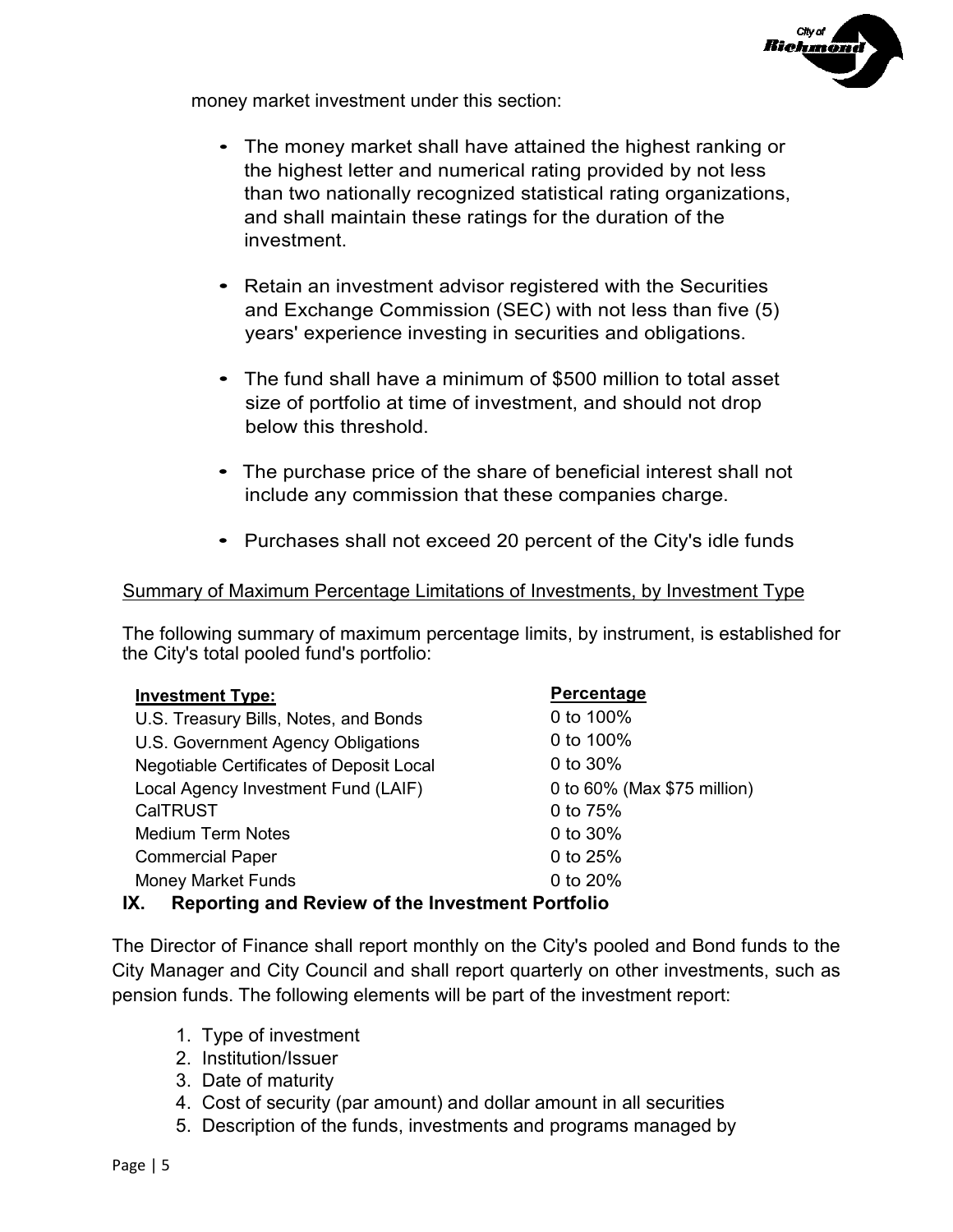

money market investment under this section:

- The money market shall have attained the highest ranking or the highest letter and numerical rating provided by not less than two nationally recognized statistical rating organizations, and shall maintain these ratings for the duration of the investment.
- Retain an investment advisor registered with the Securities and Exchange Commission (SEC) with not less than five (5) years' experience investing in securities and obligations.
- The fund shall have a minimum of \$500 million to total asset size of portfolio at time of investment, and should not drop below this threshold.
- The purchase price of the share of beneficial interest shall not include any commission that these companies charge.
- Purchases shall not exceed 20 percent of the City's idle funds

### Summary of Maximum Percentage Limitations of Investments, by Investment Type

The following summary of maximum percentage limits, by instrument, is established for the City's total pooled fund's portfolio:

| <b>Investment Type:</b>                  | Percentage                  |
|------------------------------------------|-----------------------------|
| U.S. Treasury Bills, Notes, and Bonds    | 0 to 100%                   |
| U.S. Government Agency Obligations       | 0 to 100%                   |
| Negotiable Certificates of Deposit Local | 0 to 30%                    |
| Local Agency Investment Fund (LAIF)      | 0 to 60% (Max \$75 million) |
| <b>CalTRUST</b>                          | 0 to 75%                    |
| <b>Medium Term Notes</b>                 | 0 to 30%                    |
| <b>Commercial Paper</b>                  | 0 to 25%                    |
| <b>Money Market Funds</b>                | 0 to 20%                    |
|                                          |                             |

# **IX. Reporting and Review of the Investment Portfolio**

The Director of Finance shall report monthly on the City's pooled and Bond funds to the City Manager and City Council and shall report quarterly on other investments, such as pension funds. The following elements will be part of the investment report:

- 1. Type of investment
- 2. Institution/Issuer
- 3. Date of maturity
- 4. Cost of security (par amount) and dollar amount in all securities
- 5. Description of the funds, investments and programs managed by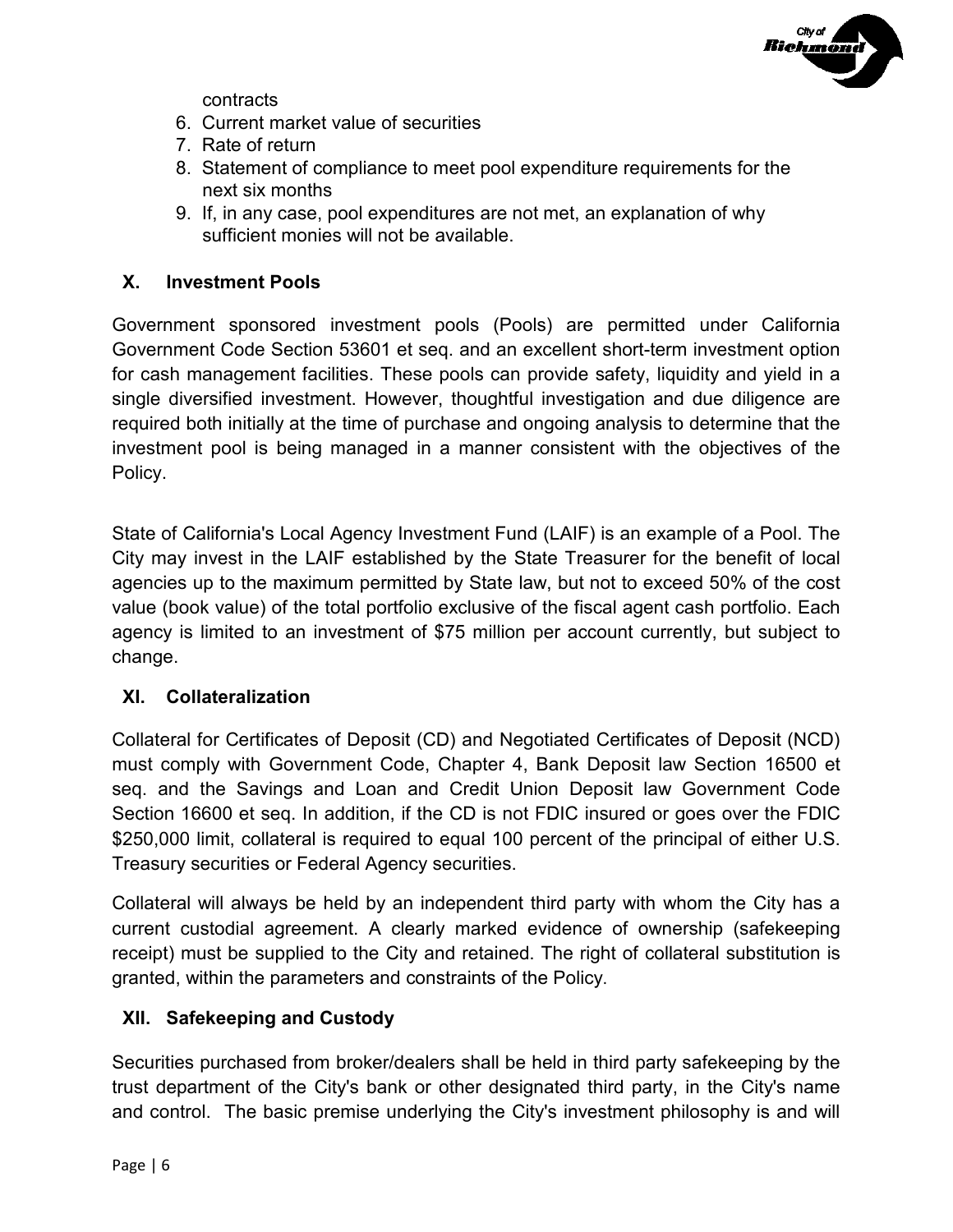

contracts

- 6. Current market value of securities
- 7. Rate of return
- 8. Statement of compliance to meet pool expenditure requirements for the next six months
- 9. If, in any case, pool expenditures are not met, an explanation of why sufficient monies will not be available.

## **X. Investment Pools**

Government sponsored investment pools (Pools) are permitted under California Government Code Section 53601 et seq. and an excellent short-term investment option for cash management facilities. These pools can provide safety, liquidity and yield in a single diversified investment. However, thoughtful investigation and due diligence are required both initially at the time of purchase and ongoing analysis to determine that the investment pool is being managed in a manner consistent with the objectives of the Policy.

State of California's Local Agency Investment Fund (LAIF) is an example of a Pool. The City may invest in the LAIF established by the State Treasurer for the benefit of local agencies up to the maximum permitted by State law, but not to exceed 50% of the cost value (book value) of the total portfolio exclusive of the fiscal agent cash portfolio. Each agency is limited to an investment of \$75 million per account currently, but subject to change.

### **XI. Collateralization**

Collateral for Certificates of Deposit (CD) and Negotiated Certificates of Deposit (NCD) must comply with Government Code, Chapter 4, Bank Deposit law Section 16500 et seq. and the Savings and Loan and Credit Union Deposit law Government Code Section 16600 et seq. In addition, if the CD is not FDIC insured or goes over the FDIC \$250,000 limit, collateral is required to equal 100 percent of the principal of either U.S. Treasury securities or Federal Agency securities.

Collateral will always be held by an independent third party with whom the City has a current custodial agreement. A clearly marked evidence of ownership (safekeeping receipt) must be supplied to the City and retained. The right of collateral substitution is granted, within the parameters and constraints of the Policy.

# **XII. Safekeeping and Custody**

Securities purchased from broker/dealers shall be held in third party safekeeping by the trust department of the City's bank or other designated third party, in the City's name and control. The basic premise underlying the City's investment philosophy is and will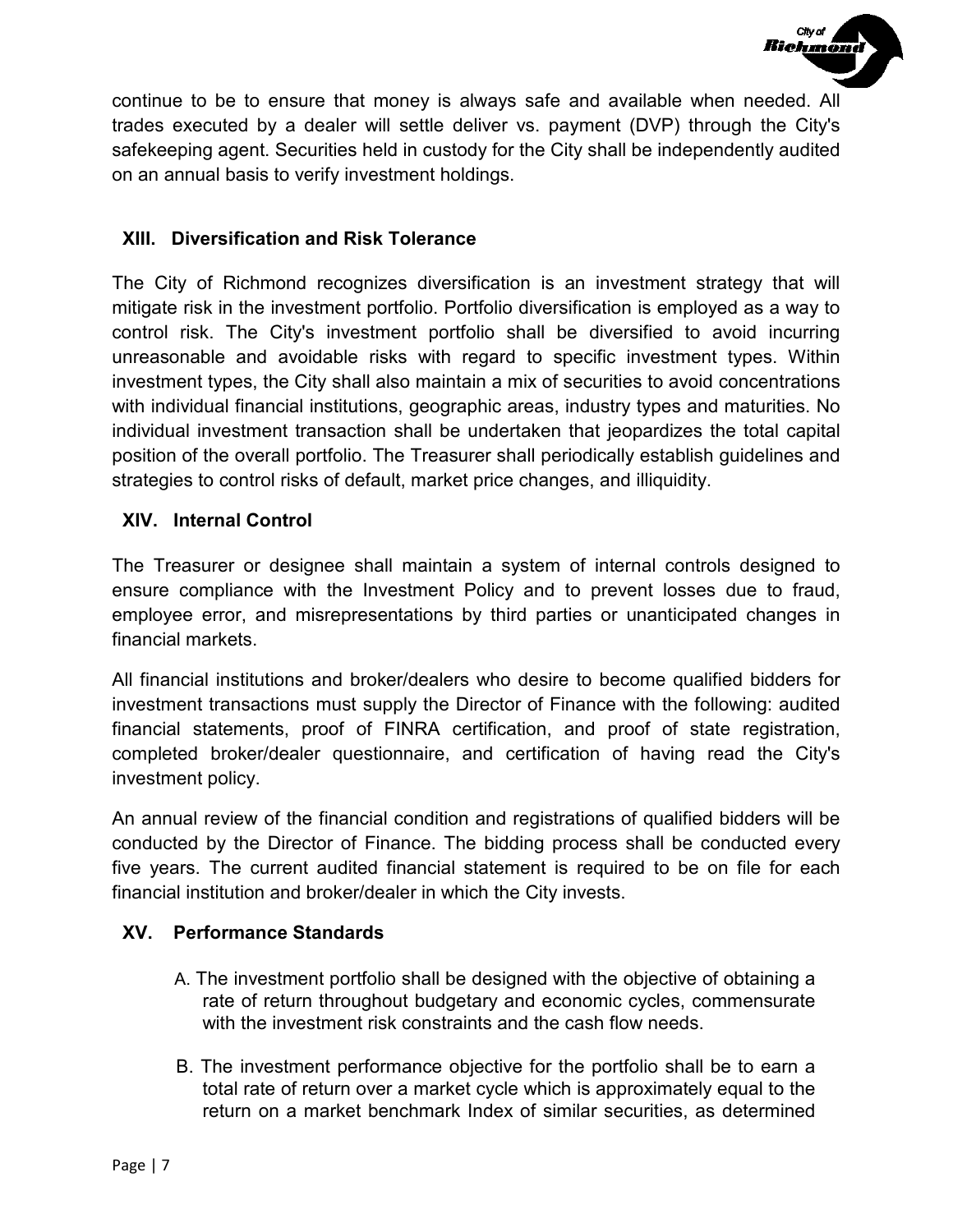

continue to be to ensure that money is always safe and available when needed. All trades executed by a dealer will settle deliver vs. payment (DVP) through the City's safekeeping agent. Securities held in custody for the City shall be independently audited on an annual basis to verify investment holdings.

## **XIII. Diversification and Risk Tolerance**

The City of Richmond recognizes diversification is an investment strategy that will mitigate risk in the investment portfolio. Portfolio diversification is employed as a way to control risk. The City's investment portfolio shall be diversified to avoid incurring unreasonable and avoidable risks with regard to specific investment types. Within investment types, the City shall also maintain a mix of securities to avoid concentrations with individual financial institutions, geographic areas, industry types and maturities. No individual investment transaction shall be undertaken that jeopardizes the total capital position of the overall portfolio. The Treasurer shall periodically establish guidelines and strategies to control risks of default, market price changes, and illiquidity.

## **XIV. Internal Control**

The Treasurer or designee shall maintain a system of internal controls designed to ensure compliance with the Investment Policy and to prevent losses due to fraud, employee error, and misrepresentations by third parties or unanticipated changes in financial markets.

All financial institutions and broker/dealers who desire to become qualified bidders for investment transactions must supply the Director of Finance with the following: audited financial statements, proof of FINRA certification, and proof of state registration, completed broker/dealer questionnaire, and certification of having read the City's investment policy.

An annual review of the financial condition and registrations of qualified bidders will be conducted by the Director of Finance. The bidding process shall be conducted every five years. The current audited financial statement is required to be on file for each financial institution and broker/dealer in which the City invests.

### **XV. Performance Standards**

- A. The investment portfolio shall be designed with the objective of obtaining a rate of return throughout budgetary and economic cycles, commensurate with the investment risk constraints and the cash flow needs.
- B. The investment performance objective for the portfolio shall be to earn a total rate of return over a market cycle which is approximately equal to the return on a market benchmark Index of similar securities, as determined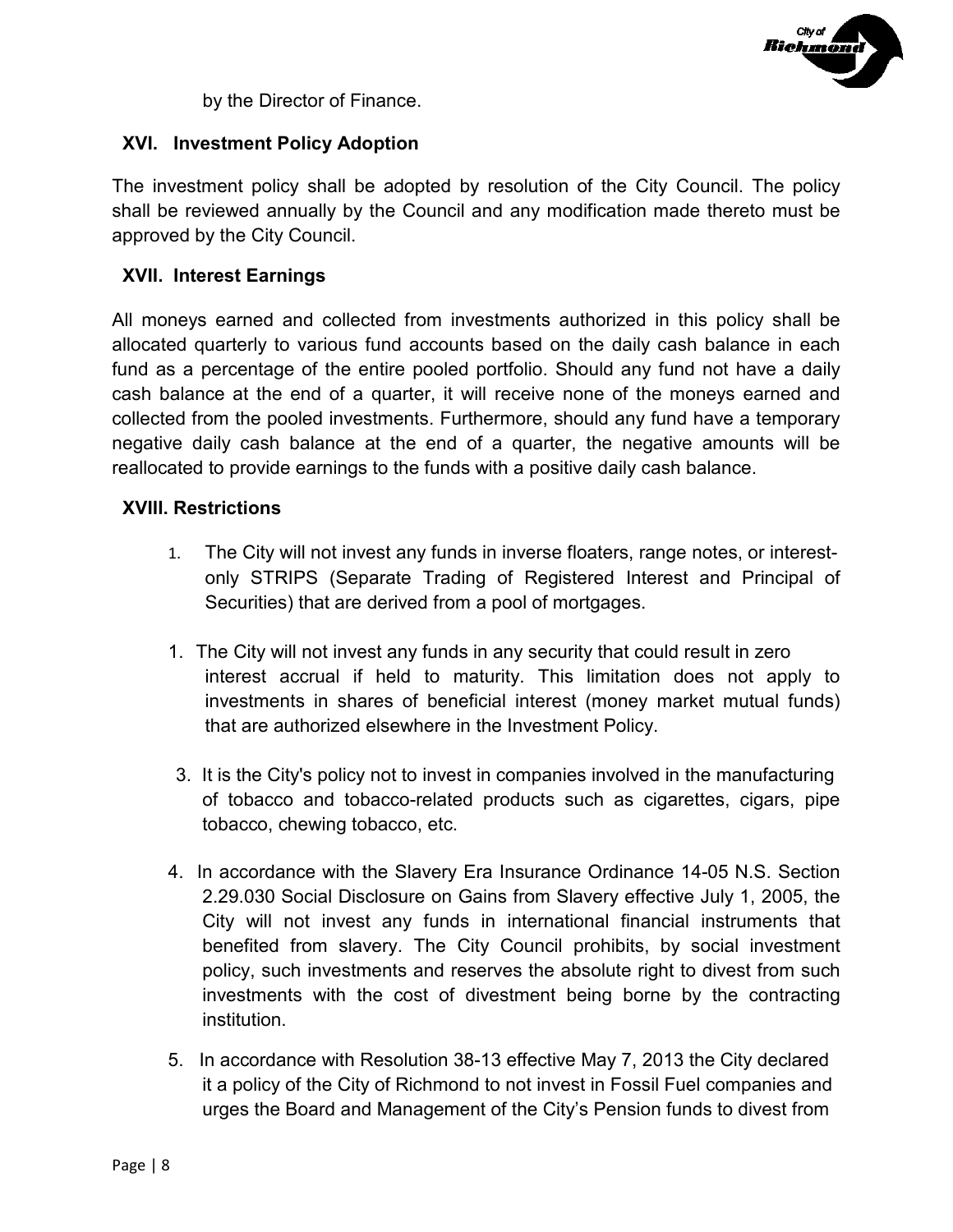

by the Director of Finance.

## **XVI. Investment Policy Adoption**

The investment policy shall be adopted by resolution of the City Council. The policy shall be reviewed annually by the Council and any modification made thereto must be approved by the City Council.

### **XVII. Interest Earnings**

All moneys earned and collected from investments authorized in this policy shall be allocated quarterly to various fund accounts based on the daily cash balance in each fund as a percentage of the entire pooled portfolio. Should any fund not have a daily cash balance at the end of a quarter, it will receive none of the moneys earned and collected from the pooled investments. Furthermore, should any fund have a temporary negative daily cash balance at the end of a quarter, the negative amounts will be reallocated to provide earnings to the funds with a positive daily cash balance.

### **XVIII. Restrictions**

- 1. The City will not invest any funds in inverse floaters, range notes, or interestonly STRIPS (Separate Trading of Registered Interest and Principal of Securities) that are derived from a pool of mortgages.
- 1. The City will not invest any funds in any security that could result in zero interest accrual if held to maturity. This limitation does not apply to investments in shares of beneficial interest (money market mutual funds) that are authorized elsewhere in the Investment Policy.
- 3. It is the City's policy not to invest in companies involved in the manufacturing of tobacco and tobacco-related products such as cigarettes, cigars, pipe tobacco, chewing tobacco, etc.
- 4. In accordance with the Slavery Era Insurance Ordinance 14-05 N.S. Section 2.29.030 Social Disclosure on Gains from Slavery effective July 1, 2005, the City will not invest any funds in international financial instruments that benefited from slavery. The City Council prohibits, by social investment policy, such investments and reserves the absolute right to divest from such investments with the cost of divestment being borne by the contracting institution.
- 5. In accordance with Resolution 38-13 effective May 7, 2013 the City declared it a policy of the City of Richmond to not invest in Fossil Fuel companies and urges the Board and Management of the City's Pension funds to divest from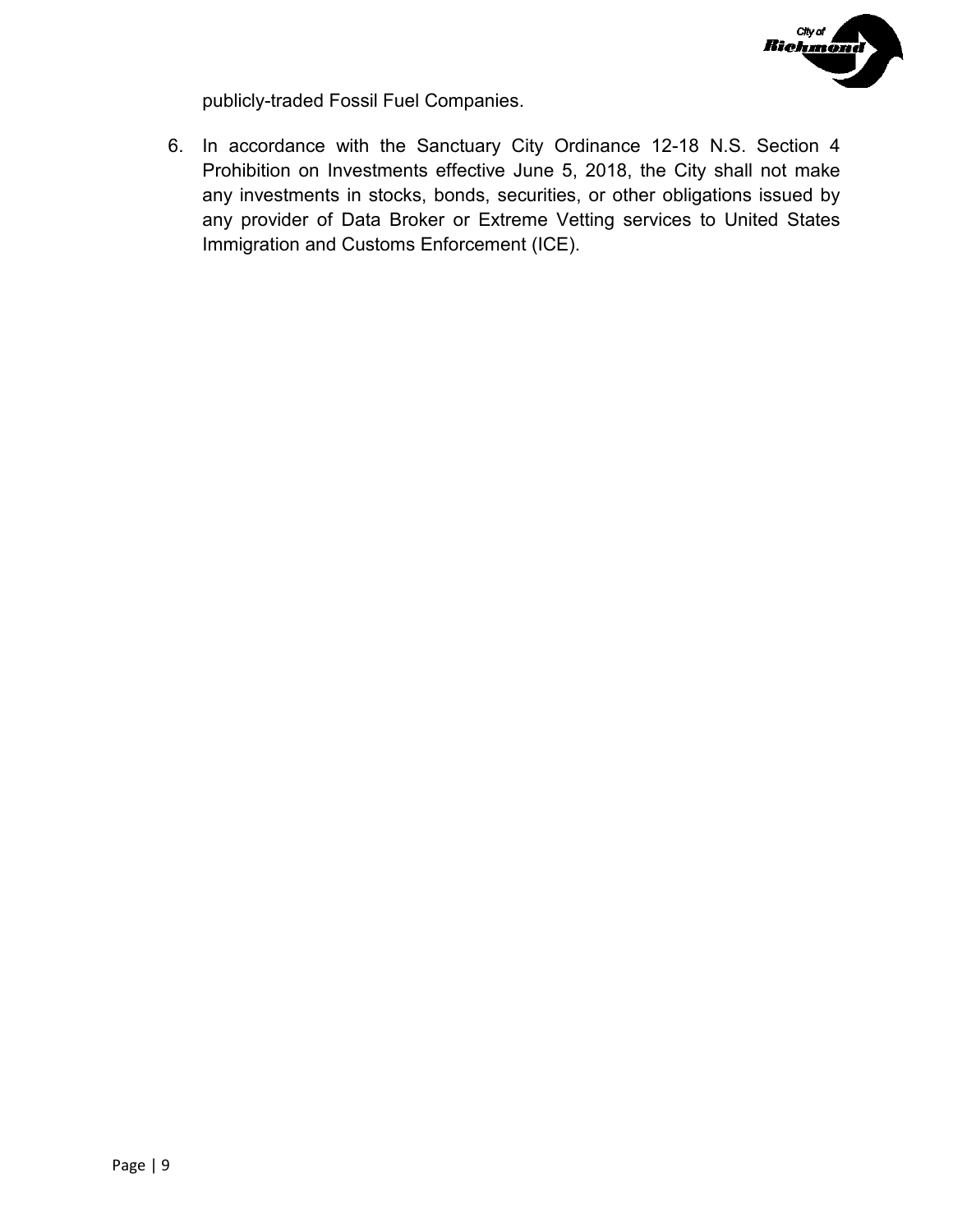

publicly-traded Fossil Fuel Companies.

6. In accordance with the Sanctuary City Ordinance 12-18 N.S. Section 4 Prohibition on Investments effective June 5, 2018, the City shall not make any investments in stocks, bonds, securities, or other obligations issued by any provider of Data Broker or Extreme Vetting services to United States Immigration and Customs Enforcement (ICE).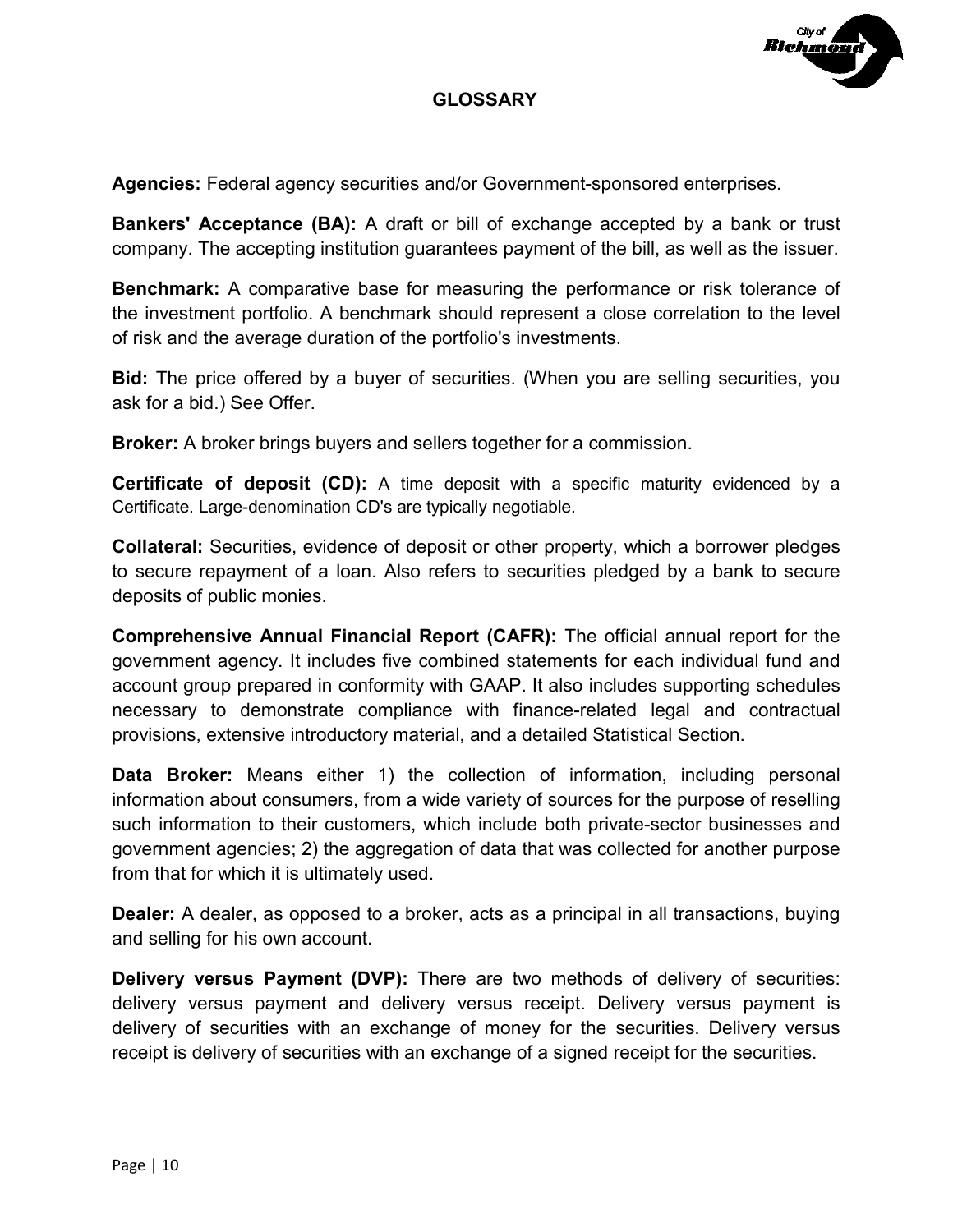

## **GLOSSARY**

**Agencies:** Federal agency securities and/or Government-sponsored enterprises.

**Bankers' Acceptance (BA):** A draft or bill of exchange accepted by a bank or trust company. The accepting institution guarantees payment of the bill, as well as the issuer.

**Benchmark:** A comparative base for measuring the performance or risk tolerance of the investment portfolio. A benchmark should represent a close correlation to the level of risk and the average duration of the portfolio's investments.

**Bid:** The price offered by a buyer of securities. (When you are selling securities, you ask for a bid.) See Offer.

**Broker:** A broker brings buyers and sellers together for a commission.

**Certificate of deposit (CD):** A time deposit with a specific maturity evidenced by a Certificate. Large-denomination CD's are typically negotiable.

**Collateral:** Securities, evidence of deposit or other property, which a borrower pledges to secure repayment of a loan. Also refers to securities pledged by a bank to secure deposits of public monies.

**Comprehensive Annual Financial Report (CAFR):** The official annual report for the government agency. It includes five combined statements for each individual fund and account group prepared in conformity with GAAP. It also includes supporting schedules necessary to demonstrate compliance with finance-related legal and contractual provisions, extensive introductory material, and a detailed Statistical Section.

**Data Broker:** Means either 1) the collection of information, including personal information about consumers, from a wide variety of sources for the purpose of reselling such information to their customers, which include both private-sector businesses and government agencies; 2) the aggregation of data that was collected for another purpose from that for which it is ultimately used.

**Dealer:** A dealer, as opposed to a broker, acts as a principal in all transactions, buying and selling for his own account.

**Delivery versus Payment (DVP):** There are two methods of delivery of securities: delivery versus payment and delivery versus receipt. Delivery versus payment is delivery of securities with an exchange of money for the securities. Delivery versus receipt is delivery of securities with an exchange of a signed receipt for the securities.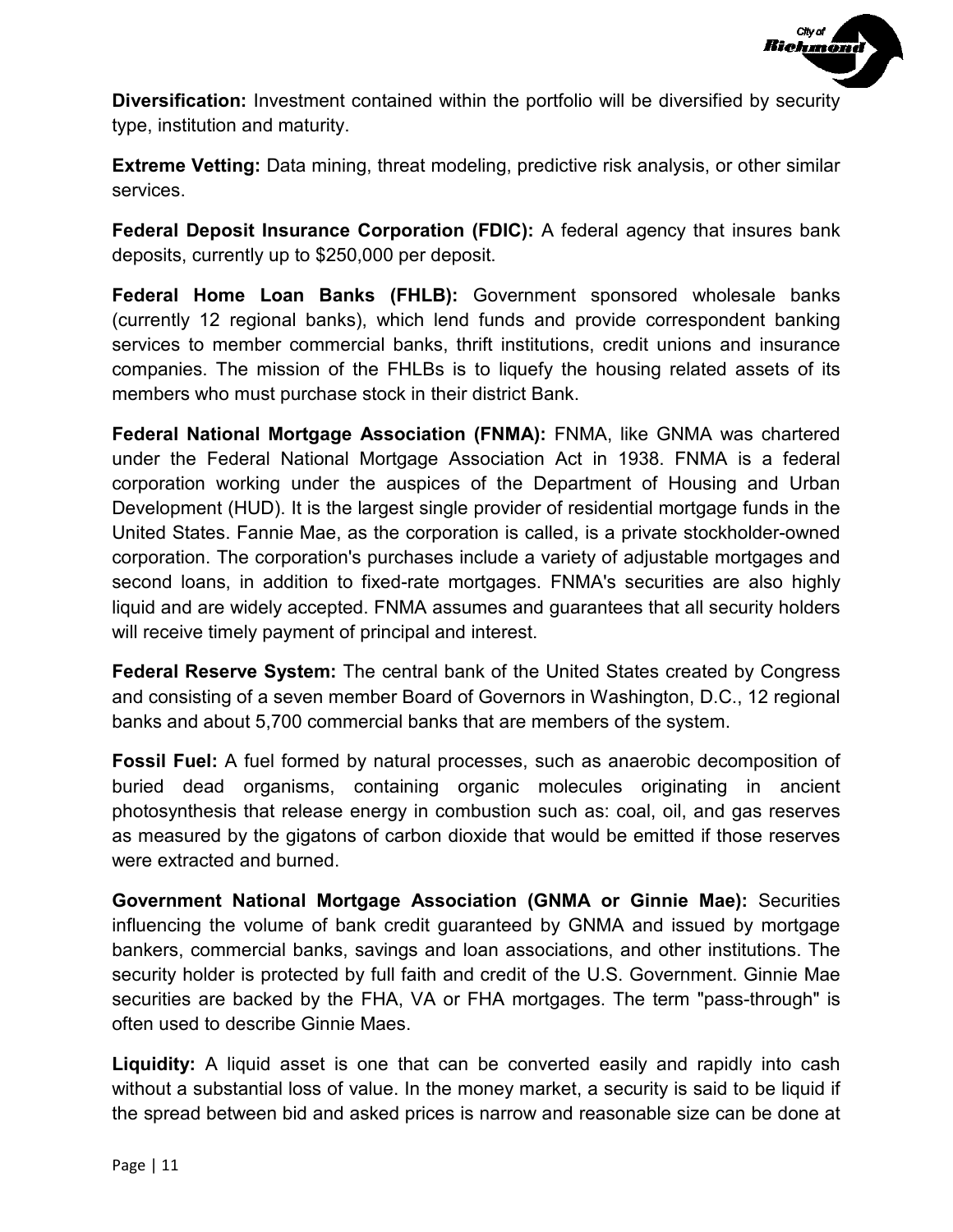

**Diversification:** Investment contained within the portfolio will be diversified by security type, institution and maturity.

**Extreme Vetting:** Data mining, threat modeling, predictive risk analysis, or other similar services.

**Federal Deposit Insurance Corporation (FDIC):** A federal agency that insures bank deposits, currently up to \$250,000 per deposit.

**Federal Home Loan Banks (FHLB):** Government sponsored wholesale banks (currently 12 regional banks), which lend funds and provide correspondent banking services to member commercial banks, thrift institutions, credit unions and insurance companies. The mission of the FHLBs is to liquefy the housing related assets of its members who must purchase stock in their district Bank.

**Federal National Mortgage Association (FNMA):** FNMA, like GNMA was chartered under the Federal National Mortgage Association Act in 1938. FNMA is a federal corporation working under the auspices of the Department of Housing and Urban Development (HUD). It is the largest single provider of residential mortgage funds in the United States. Fannie Mae, as the corporation is called, is a private stockholder-owned corporation. The corporation's purchases include a variety of adjustable mortgages and second loans, in addition to fixed-rate mortgages. FNMA's securities are also highly liquid and are widely accepted. FNMA assumes and guarantees that all security holders will receive timely payment of principal and interest.

**Federal Reserve System:** The central bank of the United States created by Congress and consisting of a seven member Board of Governors in Washington, D.C., 12 regional banks and about 5,700 commercial banks that are members of the system.

**Fossil Fuel:** A fuel formed by natural processes, such as anaerobic decomposition of buried dead organisms, containing organic molecules originating in ancient photosynthesis that release energy in combustion such as: coal, oil, and gas reserves as measured by the gigatons of carbon dioxide that would be emitted if those reserves were extracted and burned.

**Government National Mortgage Association (GNMA or Ginnie Mae):** Securities influencing the volume of bank credit guaranteed by GNMA and issued by mortgage bankers, commercial banks, savings and loan associations, and other institutions. The security holder is protected by full faith and credit of the U.S. Government. Ginnie Mae securities are backed by the FHA, VA or FHA mortgages. The term "pass-through" is often used to describe Ginnie Maes.

**Liquidity:** A liquid asset is one that can be converted easily and rapidly into cash without a substantial loss of value. In the money market, a security is said to be liquid if the spread between bid and asked prices is narrow and reasonable size can be done at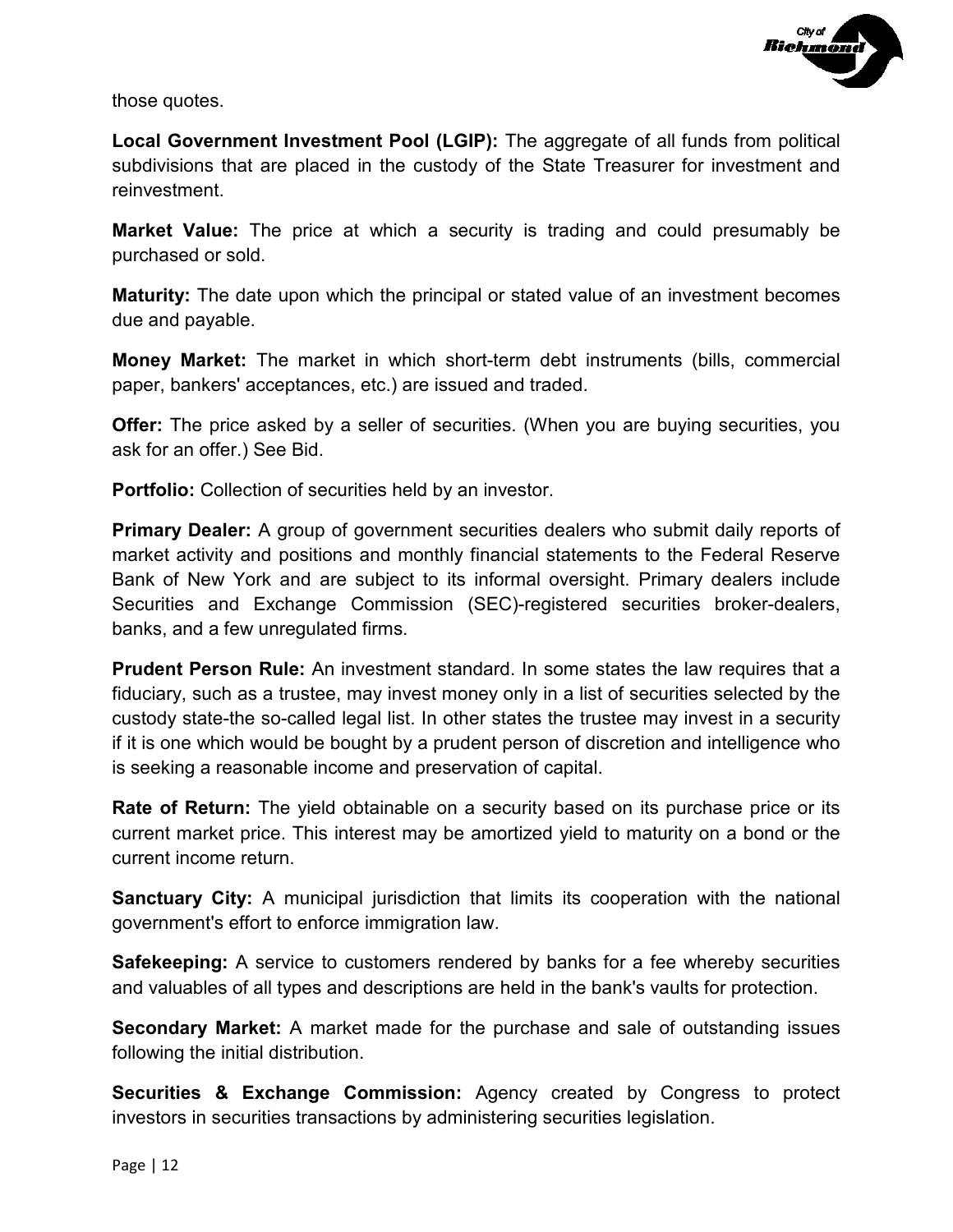

those quotes.

**Local Government Investment Pool (LGIP):** The aggregate of all funds from political subdivisions that are placed in the custody of the State Treasurer for investment and reinvestment.

**Market Value:** The price at which a security is trading and could presumably be purchased or sold.

**Maturity:** The date upon which the principal or stated value of an investment becomes due and payable.

**Money Market:** The market in which short-term debt instruments (bills, commercial paper, bankers' acceptances, etc.) are issued and traded.

**Offer:** The price asked by a seller of securities. (When you are buying securities, you ask for an offer.) See Bid.

**Portfolio:** Collection of securities held by an investor.

**Primary Dealer:** A group of government securities dealers who submit daily reports of market activity and positions and monthly financial statements to the Federal Reserve Bank of New York and are subject to its informal oversight. Primary dealers include Securities and Exchange Commission (SEC)-registered securities broker-dealers, banks, and a few unregulated firms.

**Prudent Person Rule:** An investment standard. In some states the law requires that a fiduciary, such as a trustee, may invest money only in a list of securities selected by the custody state-the so-called legal list. In other states the trustee may invest in a security if it is one which would be bought by a prudent person of discretion and intelligence who is seeking a reasonable income and preservation of capital.

**Rate of Return:** The yield obtainable on a security based on its purchase price or its current market price. This interest may be amortized yield to maturity on a bond or the current income return.

**Sanctuary City:** A municipal jurisdiction that limits its cooperation with the national government's effort to enforce immigration law.

**Safekeeping:** A service to customers rendered by banks for a fee whereby securities and valuables of all types and descriptions are held in the bank's vaults for protection.

**Secondary Market:** A market made for the purchase and sale of outstanding issues following the initial distribution.

**Securities & Exchange Commission:** Agency created by Congress to protect investors in securities transactions by administering securities legislation.